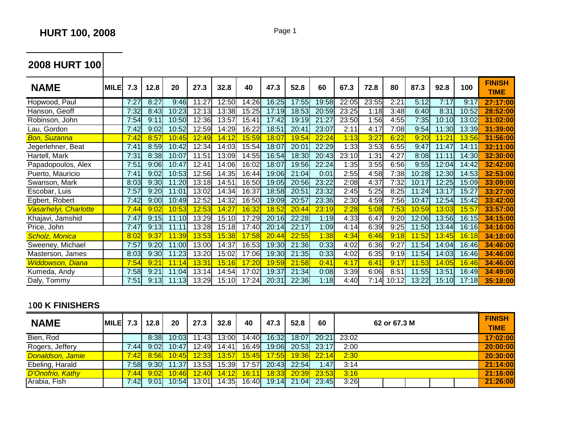**2008 HURT 100**

| <b>NAME</b>             | <b>MILE</b> | 7.3  | 12.8          | 20    | 27.3               | 32.8  | 40     | 47.3         | 52.8               | 60    | 67.3  | 72.8  | 80    | 87.3  | 92.8               | 100    | <b>FINISH</b><br><b>TIME</b> |
|-------------------------|-------------|------|---------------|-------|--------------------|-------|--------|--------------|--------------------|-------|-------|-------|-------|-------|--------------------|--------|------------------------------|
| Hopwood, Paul           |             | 7:27 | 8:27          | 9:46  | 11:27              | 12:50 | 14:26  | 16:25        | 17:55              | 19:58 | 22:05 | 23:55 | 2:21  | 5:12  | 7:17               | 9:17   | 27:17:00                     |
| Hanson, Geoff           |             | 7:32 | 8:43          | 10:23 | 12:13              | 13:38 | 15:25  | 17:19        | 18:53              | 20:59 | 23:25 | 1:18  | 3:48  | 6:40  | 8:31               | 10:52  | 28:52:00                     |
| Robinson, John          |             | 7:54 | 9:11          | 10:50 | 12:36              | 13:57 | 15:41  | 17:42        | 19:19              | 21:27 | 23:50 | 1:56  | 4:55  | 7:35  | 10:10              | 13:02  | 31:02:00                     |
| Lau, Gordon             |             | 7:42 | 9:02          | 10:52 | 12:59              | 14:29 | 16:22  | 18:51        | 20:41              | 23:07 | 2:11  | 4:17  | 7:08  | 9:54  | 11:30              | 13:39  | 31:39:00                     |
| <b>Bon, Suzanna</b>     |             | 7:42 | 8:57          | 10:45 | <mark>12:49</mark> | 4:12  | 15:59  | 18:07        | <mark>19:54</mark> | 22:24 | 1:13  | 3:27  | 6:22  | 9:20  | <mark>11:21</mark> | 13:56  | 31:56:00                     |
| Jegerlehner, Beat       |             | 7:41 | 8:59          | 10:42 | 12:34              | 14:03 | 15:54  | 18:07        | 20:01              | 22:29 | 1:33  | 3:53  | 6:55  | 9:47  | 11:47              | 14:11  | 32:11:00                     |
| Hartell, Mark           |             | 7:31 | 8:38          | 10:07 | 11:51              | 13:09 | 14:55l | 16:54        | 18:30              | 20:43 | 23:10 | 1:31  | 4:27  | 8:08  | 11:11              | 14:30l | 32:30:00                     |
| Papadopoulos, Alex      |             | 7:51 | 9:06          | 10:47 | 12:41              | 14:06 | 16:02  | 18:07        | 19:56              | 22:24 | 1:35  | 3:55  | 6:56  | 9:55  | 12:04              | 14:42  | 32:42:00                     |
| Puerto, Mauricio        |             | 7:41 | 9:02          | 10:53 | 12:56              | 14:35 | 16:44  | 19:06        | 21:04              | 0:01  | 2:55  | 4:58  | 7:38  | 10:28 | 12:30              | 14:53  | 32:53:00                     |
| Swanson, Mark           |             | 8:03 | 9:30          | 11:20 | 13:18              | 14:51 | 16:50  | 19:05        | 20:56              | 23:22 | 2:08  | 4:37  | 7:32  | 10:17 | 12:25              | 15:09  | 33:09:00                     |
| Escobar, Luis           |             | 7:57 | 9:20          | 11:01 | 13:02              | 14:34 | 16:37  | 18:58        | 20:51              | 23:32 | 2:45  | 5:25  | 8:25  | 11:24 | 13:17              | 15:27  | 33:27:00                     |
| Egbert, Robert          |             | 7:42 | 9:00          | 10:49 | 12:52              | 14:32 | 16:50  | 19:09        | 20:57              | 23:36 | 2:30  | 4:59  | 7:56  | 10:47 | 12:54              | 15:42  | 33:42:00                     |
| Vasarhelyi, Charlotte   |             | 7:44 | 9:02          | 10:53 | 12:53              | 4:27  | 16:32  | 18:52        | 20:44              | 23:19 | 2:28  | 5:08  | 7:53  | 10:59 | <mark>13:03</mark> | 15:57  | 33:57:00                     |
| Khajavi, Jamshid        |             | 7:47 | 9:15          | 11:10 | 13:29              | 15:10 | 17:29  | 20:16        | 22:28              | 1:19  | 4:33  | 6:47  | 9:20  | 12:06 | 13:56              | 16:15  | 34:15:00                     |
| Price, John             |             | 7:47 | 9:13          | 11:11 | 13:28              | 15:18 | 17:40  | 20:14        | 22:17              | 1:09  | 4:14  | 6:39  | 9:25  | 11:50 | 13:44              | 16:16  | 34:16:00                     |
| <b>Scholz, Monica</b>   |             | 8:02 | 9:37          | 11:39 | 13:53              | 15:38 | 17:58  | 20:44        | 22:55              | 1:38  | 4:34  | 6:46  | 9:18  | 11:52 | <mark>13:45</mark> | 16:18  | 34:18:00                     |
| Sweeney, Michael        |             | 7:57 | 9:20          | 11:00 | 13:00              | 14:37 | 16:53  | 19:30        | 21:36              | 0:33  | 4:02  | 6:36  | 9:27  | 11:54 | 14:04              | 16:46  | 34:46:00                     |
| Masterson, James        |             | 8:03 | 9:30          | 11:23 | 13:20              | 15:02 | 17:06  | 19:30        | 21:35              | 0:33  | 4:02  | 6:35  | 9:19  | 11:54 | 14:03              | 16:46  | 34:46:00                     |
| <b>Widdowson, Diana</b> |             | 7:54 | $9:2^{\circ}$ | 4     | 13:31              | 15:16 | 17:20  | <u>19:59</u> | 21:58              | 0:41  | 4:17  | 6:41  | 9:17  | 11:53 | 14:05              | 16:46  | 34:46:00                     |
| Kumeda, Andy            |             | 7:58 | 9:21          | 11:04 | 13:14              | 14:54 | 17:02  | 19:37        | 21:34              | 0:08  | 3:39  | 6:06  | 8:51  | 11:55 | 13:51              | 16:49  | 34:49:00                     |
| Daly, Tommy             |             | 7:51 | 9:13          | 11:13 | 13:29              | 15:10 | 17:24  | 20:31        | 22:36              | 1:18  | 4:40  | 7:14  | 10:12 | 13:22 | 15:10              | 17:18  | 35:18:00                     |

## 1**00 K FINISHERS**

| <b>NAME</b>      | $MILE$ 7.3 |       | 12.8 | 20    | 27.3  | 32.8  | 40     | 47.3  | 52.8                     | 60          |       | 62 or 67.3 M | <b>FINISH</b><br><b>TIME</b> |
|------------------|------------|-------|------|-------|-------|-------|--------|-------|--------------------------|-------------|-------|--------------|------------------------------|
| Bien, Rod        |            |       | 8:38 | 10:03 | 11:43 | 13:00 | 14:40  | 16:32 | 18:07                    | 20:21       | 23:02 |              | 17:02:00                     |
| Rogers, Jeffery  |            | 7:44  | 9:02 | 10:47 | 12:49 | 14:41 | 16:49  | 19:06 | 20:53                    | 23:17       | 2:00  |              | 20:00:00                     |
| Donaldson, Jamie |            | 7:42  | 8:56 | 10:45 | 12:33 | 13:57 | 15:45  | 17:55 |                          | 19:36 22:14 | 2:30  |              | 20:30:00                     |
| Ebeling, Harald  |            | 7:58  | 9:30 | 11:37 | 13:53 | 15:39 | 17:57  | 20:43 | 22:54                    | 1:47        | 3:14  |              | 21:14:00                     |
| D'Onofrio, Kathy |            | 7:44  | 9:02 | 10:46 | 12:40 | 14:12 | 16:11  |       | <mark>18:33</mark> 20:39 | 23:53       | 3:16  |              | 21:16:00                     |
| Arabia, Fish     |            | 7:421 | 9:01 | 10:54 | 13:01 | 14:35 | 16:40L |       | 19:14 21:04              | 23:45       | 3:26  |              | 21:26:00                     |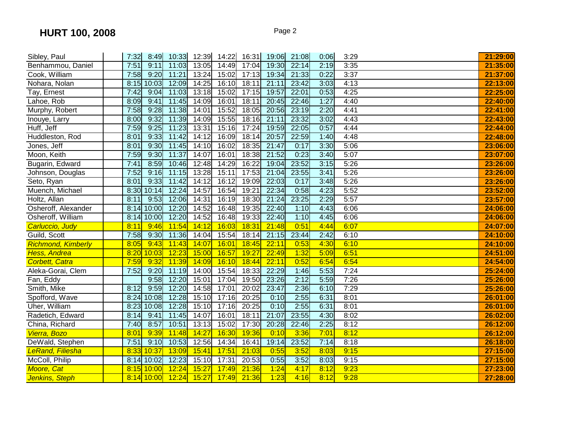| Sibley, Paul              | 7:32 | 8:49       |       | 10:33 12:39 14:22 |       | 16:31 | 19:06 | 21:08 | 0:06 | 3:29 | 21:29:00 |
|---------------------------|------|------------|-------|-------------------|-------|-------|-------|-------|------|------|----------|
| Benhammou, Daniel         | 7:51 | 9:11       | 11:03 | 13:05             | 14:49 | 17:04 | 19:30 | 22:14 | 2:19 | 3:35 | 21:35:00 |
| Cook, William             | 7:58 | 9:20       | 11:21 | 13:24             | 15:02 | 17:13 | 19:34 | 21:33 | 0:22 | 3:37 | 21:37:00 |
| Nohara, Nolan             | 8:15 | 10:03      | 12:09 | 14:25             | 16:10 | 18:11 | 21:11 | 23:42 | 3:03 | 4:13 | 22:13:00 |
| Tay, Ernest               | 7:42 | 9:04       | 11:03 | 13:18             | 15:02 | 17:15 | 19:57 | 22:01 | 0:53 | 4:25 | 22:25:00 |
| Lahoe, Rob                | 8:09 | 9:41       | 11:45 | 14:09             | 16:01 | 18:11 | 20:45 | 22:46 | 1:27 | 4:40 | 22:40:00 |
| Murphy, Robert            | 7:58 | 9:28       | 11:38 | 14:01             | 15:52 | 18:05 | 20:56 | 23:19 | 2:20 | 4:41 | 22:41:00 |
| Inouye, Larry             | 8:00 | 9:32       | 11:39 | 14:09             | 15:55 | 18:16 | 21:11 | 23:32 | 3:02 | 4:43 | 22:43:00 |
| Huff, Jeff                | 7:59 | 9:25       | 11:23 | 13:31             | 15:16 | 17:24 | 19:59 | 22:05 | 0:57 | 4:44 | 22:44:00 |
| Huddleston, Rod           | 8:01 | 9:33       | 11:42 | 14:12             | 16:09 | 18:14 | 20:57 | 22:59 | 1:40 | 4:48 | 22:48:00 |
| Jones, Jeff               | 8:01 | 9:30       | 11:45 | 14:10             | 16:02 | 18:35 | 21:47 | 0:17  | 3:30 | 5:06 | 23:06:00 |
| Moon, Keith               | 7:59 | 9:30       | 11:37 | 14:07             | 16:01 | 18:38 | 21:52 | 0:23  | 3:40 | 5:07 | 23:07:00 |
| Bugarin, Edward           | 7:41 | 8:59       | 10:46 | 12:48             | 14:29 | 16:22 | 19:04 | 23:52 | 3:15 | 5:26 | 23:26:00 |
| Johnson, Douglas          | 7:52 | 9:16       | 11:15 | 13:28             | 15:11 | 17:53 | 21:04 | 23:55 | 3:41 | 5:26 | 23:26:00 |
| Seto, Ryan                | 8:01 | 9:33       | 11:42 | 14:12             | 16:12 | 19:09 | 22:03 | 0:17  | 3:48 | 5:26 | 23:26:00 |
| Muench, Michael           | 8:30 | 10:14      | 12:24 | 14:57             | 16:54 | 19:21 | 22:34 | 0:58  | 4:23 | 5:52 | 23:52:00 |
| Holtz, Allan              | 8:11 | 9:53       | 12:06 | 14:31             | 16:19 | 18:30 | 21:24 | 23:25 | 2:29 | 5:57 | 23:57:00 |
| Osheroff, Alexander       | 8:14 | 10:00      | 12:20 | 14:52             | 16:48 | 19:35 | 22:40 | 1:10  | 4:43 | 6:06 | 24:06:00 |
| Osheroff, William         | 8:14 | 10:00      | 12:20 | 14:52             | 16:48 | 19:33 | 22:40 | 1:10  | 4:45 | 6:06 | 24:06:00 |
| Carluccio, Judy           | 8:11 | 9:46       | 11:54 | 14:12             | 16:03 | 18:31 | 21:48 | 0:51  | 4:44 | 6:07 | 24:07:00 |
| Guild, Scott              | 7:58 | 9:30       | 11:36 | 14:04             | 15:54 | 18:14 | 21:15 | 23:44 | 2:42 | 6:10 | 24:10:00 |
| <b>Richmond, Kimberly</b> | 8:05 | 9:43       | 11:43 | 14:07             | 16:01 | 18:45 | 22:11 | 0:53  | 4:30 | 6:10 | 24:10:00 |
| Hess, Andrea              | 8:20 | 10:03      | 12:23 | 15:00             | 16:57 | 19:27 | 22:49 | 1:32  | 5:09 | 6:51 | 24:51:00 |
| <b>Corbett, Catra</b>     | 7:59 | 9:32       | 11:39 | 14:09             | 16:10 | 18:44 | 22:11 | 0:52  | 6:54 | 6:54 | 24:54:00 |
| Aleka-Gorai, Clem         | 7:52 | 9:20       | 11:19 | 14:00             | 15:54 | 18:33 | 22:29 | 1:46  | 5:53 | 7:24 | 25:24:00 |
| Fan, Eddy                 |      | 9:58       | 12:20 | 15:01             | 17:04 | 19:50 | 23:26 | 2:12  | 5:59 | 7:26 | 25:26:00 |
| Smith, Mike               | 8:12 | 9:59       | 12:20 | 14:58             | 17:01 | 20:02 | 23:47 | 2:36  | 6:10 | 7:29 | 25:26:00 |
| Spofford, Wave            | 8:24 | 10:08      | 12:28 | 15:10             | 17:16 | 20:25 | 0:10  | 2:55  | 6:31 | 8:01 | 26:01:00 |
| Uher, William             | 8:23 | 10:08      | 12:28 | 15:10             | 17:16 | 20:25 | 0:10  | 2:55  | 6:31 | 8:01 | 26:01:00 |
| Radetich, Edward          | 8:14 | 9:41       | 11:45 | 14:07             | 16:01 | 18:11 | 21:07 | 23:55 | 4:30 | 8:02 | 26:02:00 |
| China, Richard            | 7:40 | 8:57       | 10:51 | 13:13             | 15:02 | 17:30 | 20:28 | 22:46 | 2:25 | 8:12 | 26:12:00 |
| Vierra, Bozo              | 8:01 | 9:39       | 11:48 | 14:27             | 16:30 | 19:36 | 0:10  | 3:36  | 7:01 | 8:12 | 26:12:00 |
| DeWald, Stephen           | 7:51 | 9:10       | 10:53 | 12:56             | 14:34 | 16:41 | 19:14 | 23:52 | 7:14 | 8:18 | 26:18:00 |
| <b>LeRand, Filiesha</b>   | 8:33 | 10:37      | 13:09 | 15:41             | 17:51 | 21:03 | 0:55  | 3:52  | 8:03 | 9:15 | 27:15:00 |
| McColl, Philip            |      | 8:14 10:02 | 12:23 | 15:10             | 17:31 | 20:53 | 0:55  | 3:52  | 8:03 | 9:15 | 27:15:00 |
| Moore, Cat                |      | 8:15 10:00 | 12:24 | 15:27             | 17:49 | 21:36 | 1:24  | 4:17  | 8:12 | 9:23 | 27:23:00 |
| <b>Jenkins, Steph</b>     |      | 8:14 10:00 | 12:24 | 15:27             | 17:49 | 21:36 | 1:23  | 4:16  | 8:12 | 9:28 | 27:28:00 |